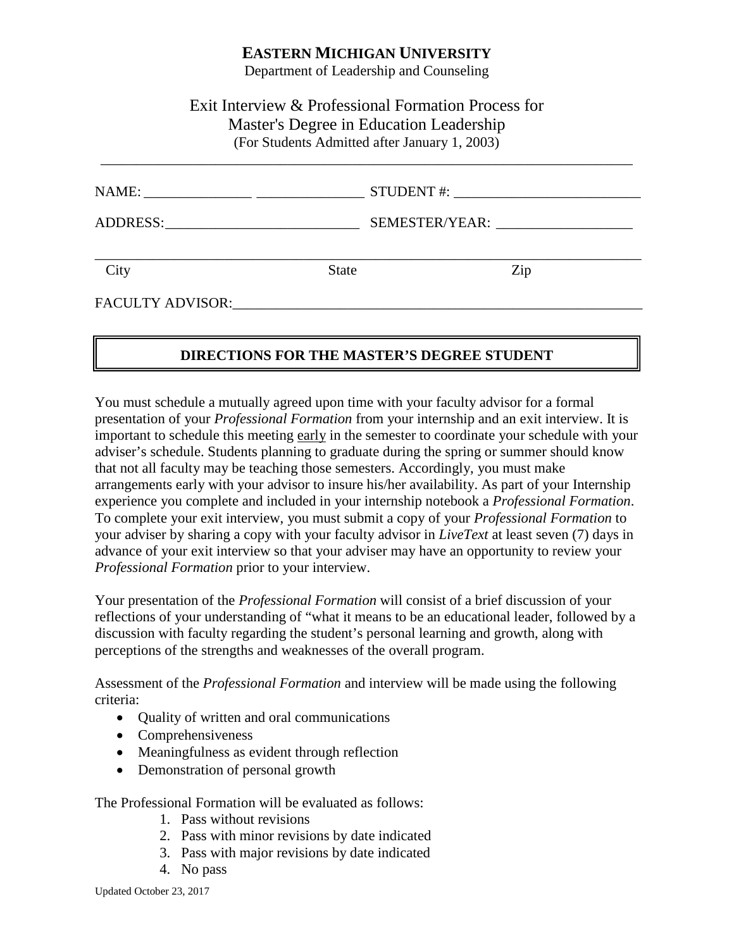#### **EASTERN MICHIGAN UNIVERSITY**

Department of Leadership and Counseling

### Exit Interview & Professional Formation Process for Master's Degree in Education Leadership (For Students Admitted after January 1, 2003)

\_\_\_\_\_\_\_\_\_\_\_\_\_\_\_\_\_\_\_\_\_\_\_\_\_\_\_\_\_\_\_\_\_\_\_\_\_\_\_\_\_\_\_\_\_\_\_\_\_\_\_\_\_\_\_\_\_\_\_\_\_\_\_\_\_\_\_\_\_\_\_\_\_\_

|                                                                                                                                                                                                                                |              | STUDENT#:      |  |
|--------------------------------------------------------------------------------------------------------------------------------------------------------------------------------------------------------------------------------|--------------|----------------|--|
| ADDRESS: And Andrew All Andrew Andrew All Andrew All Andrew All Andrew All Andrew All Andrew All Andrew All Andrew All Andrew All Andrew All Andrew All Andrew All Andrew All Andrew All Andrew All Andrew All Andrew All Andr |              | SEMESTER/YEAR: |  |
| City                                                                                                                                                                                                                           | <b>State</b> | Zip            |  |
| <b>FACULTY ADVISOR:</b>                                                                                                                                                                                                        |              |                |  |

### **DIRECTIONS FOR THE MASTER'S DEGREE STUDENT**

You must schedule a mutually agreed upon time with your faculty advisor for a formal presentation of your *Professional Formation* from your internship and an exit interview. It is important to schedule this meeting early in the semester to coordinate your schedule with your adviser's schedule. Students planning to graduate during the spring or summer should know that not all faculty may be teaching those semesters. Accordingly, you must make arrangements early with your advisor to insure his/her availability. As part of your Internship experience you complete and included in your internship notebook a *Professional Formation*. To complete your exit interview, you must submit a copy of your *Professional Formation* to your adviser by sharing a copy with your faculty advisor in *LiveText* at least seven (7) days in advance of your exit interview so that your adviser may have an opportunity to review your *Professional Formation* prior to your interview.

Your presentation of the *Professional Formation* will consist of a brief discussion of your reflections of your understanding of "what it means to be an educational leader, followed by a discussion with faculty regarding the student's personal learning and growth, along with perceptions of the strengths and weaknesses of the overall program.

Assessment of the *Professional Formation* and interview will be made using the following criteria:

- Quality of written and oral communications
- Comprehensiveness
- Meaningfulness as evident through reflection
- Demonstration of personal growth

The Professional Formation will be evaluated as follows:

- 1. Pass without revisions
- 2. Pass with minor revisions by date indicated
- 3. Pass with major revisions by date indicated
- 4. No pass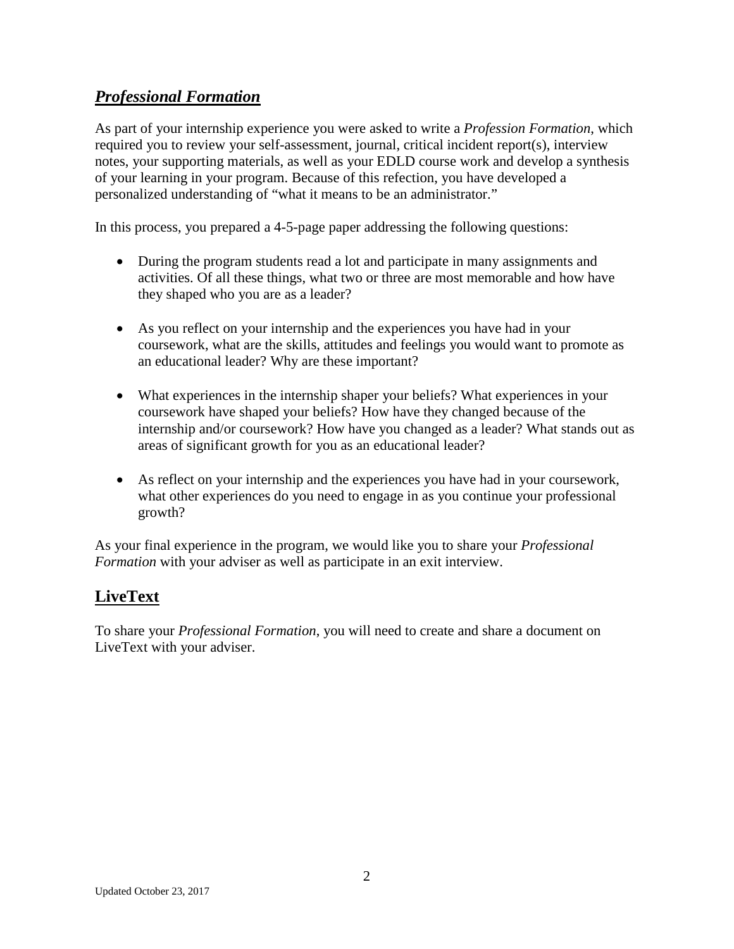# *Professional Formation*

As part of your internship experience you were asked to write a *Profession Formation*, which required you to review your self-assessment, journal, critical incident report(s), interview notes, your supporting materials, as well as your EDLD course work and develop a synthesis of your learning in your program. Because of this refection, you have developed a personalized understanding of "what it means to be an administrator."

In this process, you prepared a 4-5-page paper addressing the following questions:

- During the program students read a lot and participate in many assignments and activities. Of all these things, what two or three are most memorable and how have they shaped who you are as a leader?
- As you reflect on your internship and the experiences you have had in your coursework, what are the skills, attitudes and feelings you would want to promote as an educational leader? Why are these important?
- What experiences in the internship shaper your beliefs? What experiences in your coursework have shaped your beliefs? How have they changed because of the internship and/or coursework? How have you changed as a leader? What stands out as areas of significant growth for you as an educational leader?
- As reflect on your internship and the experiences you have had in your coursework, what other experiences do you need to engage in as you continue your professional growth?

As your final experience in the program, we would like you to share your *Professional Formation* with your adviser as well as participate in an exit interview.

# **LiveText**

To share your *Professional Formation*, you will need to create and share a document on LiveText with your adviser.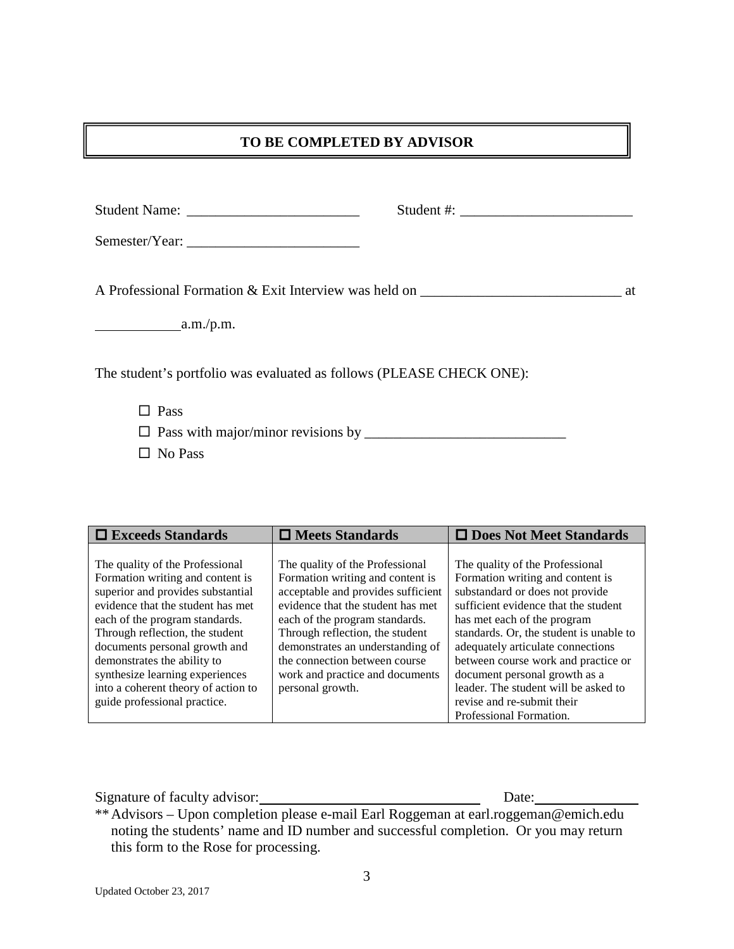#### **TO BE COMPLETED BY ADVISOR**

| A Professional Formation & Exit Interview was held on __________________________ | at |
|----------------------------------------------------------------------------------|----|
| a.m./p.m.                                                                        |    |
| The student's portfolio was evaluated as follows (PLEASE CHECK ONE):             |    |
| $\Box$ Pass                                                                      |    |
|                                                                                  |    |

□ No Pass

| $\Box$ Exceeds Standards                                              | $\Box$ Meets Standards                                                 | □ Does Not Meet Standards                                                |
|-----------------------------------------------------------------------|------------------------------------------------------------------------|--------------------------------------------------------------------------|
| The quality of the Professional                                       | The quality of the Professional                                        | The quality of the Professional                                          |
| Formation writing and content is<br>superior and provides substantial | Formation writing and content is<br>acceptable and provides sufficient | Formation writing and content is<br>substandard or does not provide      |
| evidence that the student has met                                     | evidence that the student has met                                      | sufficient evidence that the student                                     |
| each of the program standards.<br>Through reflection, the student     | each of the program standards.<br>Through reflection, the student      | has met each of the program<br>standards. Or, the student is unable to   |
| documents personal growth and<br>demonstrates the ability to          | demonstrates an understanding of<br>the connection between course      | adequately articulate connections<br>between course work and practice or |
| synthesize learning experiences                                       | work and practice and documents                                        | document personal growth as a                                            |
| into a coherent theory of action to<br>guide professional practice.   | personal growth.                                                       | leader. The student will be asked to<br>revise and re-submit their       |
|                                                                       |                                                                        | Professional Formation.                                                  |

Signature of faculty advisor: Date: Date:

\*\*Advisors – Upon completion please e-mail Earl Roggeman at [earl.roggeman@emich.edu](javascript:editContact() noting the students' name and ID number and successful completion. Or you may return this form to the Rose for processing.